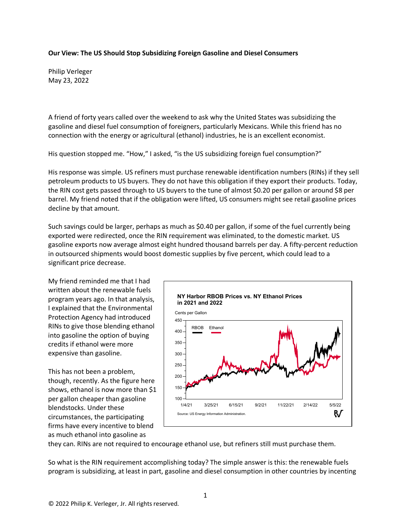## **Our View: The US Should Stop Subsidizing Foreign Gasoline and Diesel Consumers**

Philip Verleger May 23, 2022

A friend of forty years called over the weekend to ask why the United States was subsidizing the gasoline and diesel fuel consumption of foreigners, particularly Mexicans. While this friend has no connection with the energy or agricultural (ethanol) industries, he is an excellent economist.

His question stopped me. "How," I asked, "is the US subsidizing foreign fuel consumption?"

His response was simple. US refiners must purchase renewable identification numbers (RINs) if they sell petroleum products to US buyers. They do not have this obligation if they export their products. Today, the RIN cost gets passed through to US buyers to the tune of almost \$0.20 per gallon or around \$8 per barrel. My friend noted that if the obligation were lifted, US consumers might see retail gasoline prices decline by that amount.

Such savings could be larger, perhaps as much as \$0.40 per gallon, if some of the fuel currently being exported were redirected, once the RIN requirement was eliminated, to the domestic market. US gasoline exports now average almost eight hundred thousand barrels per day. A fifty-percent reduction in outsourced shipments would boost domestic supplies by five percent, which could lead to a significant price decrease.

My friend reminded me that I had written about the renewable fuels program years ago. In that analysis, I explained that the Environmental Protection Agency had introduced RINs to give those blending ethanol into gasoline the option of buying credits if ethanol were more expensive than gasoline.

This has not been a problem, though, recently. As the figure here shows, ethanol is now more than \$1 per gallon cheaper than gasoline blendstocks. Under these circumstances, the participating firms have every incentive to blend as much ethanol into gasoline as



they can. RINs are not required to encourage ethanol use, but refiners still must purchase them.

So what is the RIN requirement accomplishing today? The simple answer is this: the renewable fuels program is subsidizing, at least in part, gasoline and diesel consumption in other countries by incenting